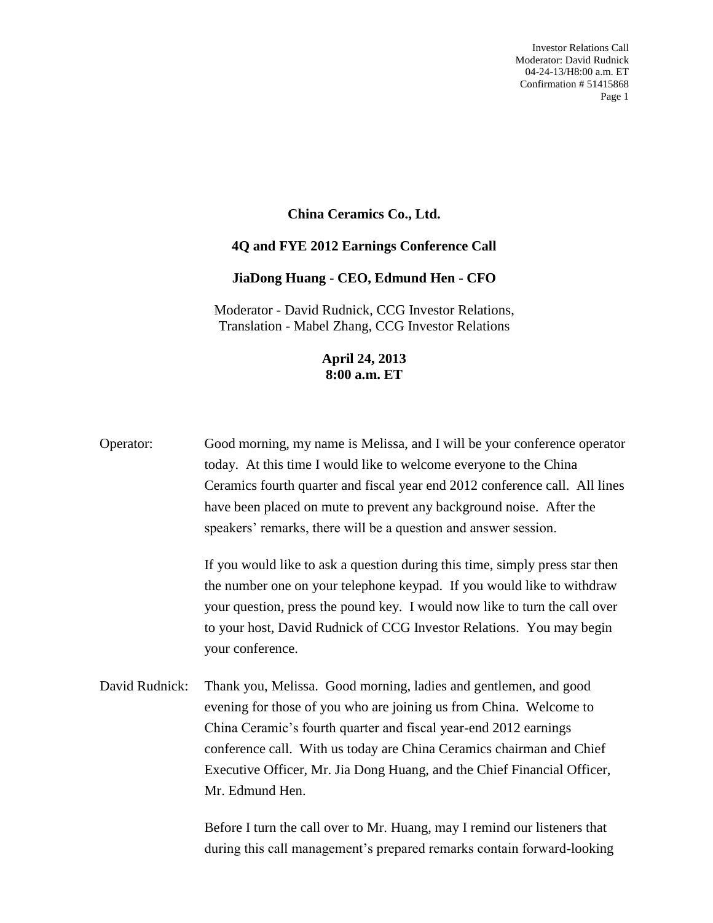## **China Ceramics Co., Ltd.**

## **4Q and FYE 2012 Earnings Conference Call**

## **JiaDong Huang - CEO, Edmund Hen - CFO**

Moderator - David Rudnick, CCG Investor Relations, Translation - Mabel Zhang, CCG Investor Relations

## **April 24, 2013 8:00 a.m. ET**

Operator: Good morning, my name is Melissa, and I will be your conference operator today. At this time I would like to welcome everyone to the China Ceramics fourth quarter and fiscal year end 2012 conference call. All lines have been placed on mute to prevent any background noise. After the speakers' remarks, there will be a question and answer session.

> If you would like to ask a question during this time, simply press star then the number one on your telephone keypad. If you would like to withdraw your question, press the pound key. I would now like to turn the call over to your host, David Rudnick of CCG Investor Relations. You may begin your conference.

David Rudnick: Thank you, Melissa. Good morning, ladies and gentlemen, and good evening for those of you who are joining us from China. Welcome to China Ceramic's fourth quarter and fiscal year-end 2012 earnings conference call. With us today are China Ceramics chairman and Chief Executive Officer, Mr. Jia Dong Huang, and the Chief Financial Officer, Mr. Edmund Hen.

> Before I turn the call over to Mr. Huang, may I remind our listeners that during this call management's prepared remarks contain forward-looking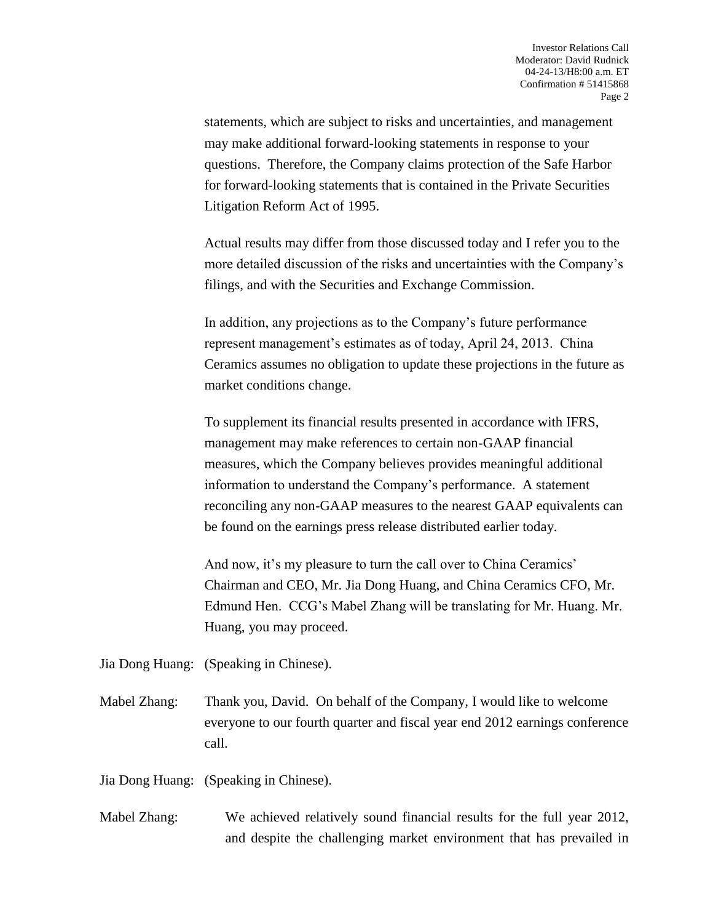statements, which are subject to risks and uncertainties, and management may make additional forward-looking statements in response to your questions. Therefore, the Company claims protection of the Safe Harbor for forward-looking statements that is contained in the Private Securities Litigation Reform Act of 1995.

Actual results may differ from those discussed today and I refer you to the more detailed discussion of the risks and uncertainties with the Company's filings, and with the Securities and Exchange Commission.

In addition, any projections as to the Company's future performance represent management's estimates as of today, April 24, 2013. China Ceramics assumes no obligation to update these projections in the future as market conditions change.

To supplement its financial results presented in accordance with IFRS, management may make references to certain non-GAAP financial measures, which the Company believes provides meaningful additional information to understand the Company's performance. A statement reconciling any non-GAAP measures to the nearest GAAP equivalents can be found on the earnings press release distributed earlier today.

And now, it's my pleasure to turn the call over to China Ceramics' Chairman and CEO, Mr. Jia Dong Huang, and China Ceramics CFO, Mr. Edmund Hen. CCG's Mabel Zhang will be translating for Mr. Huang. Mr. Huang, you may proceed.

Jia Dong Huang: (Speaking in Chinese).

Mabel Zhang: Thank you, David. On behalf of the Company, I would like to welcome everyone to our fourth quarter and fiscal year end 2012 earnings conference call.

Jia Dong Huang: (Speaking in Chinese).

Mabel Zhang: We achieved relatively sound financial results for the full year 2012, and despite the challenging market environment that has prevailed in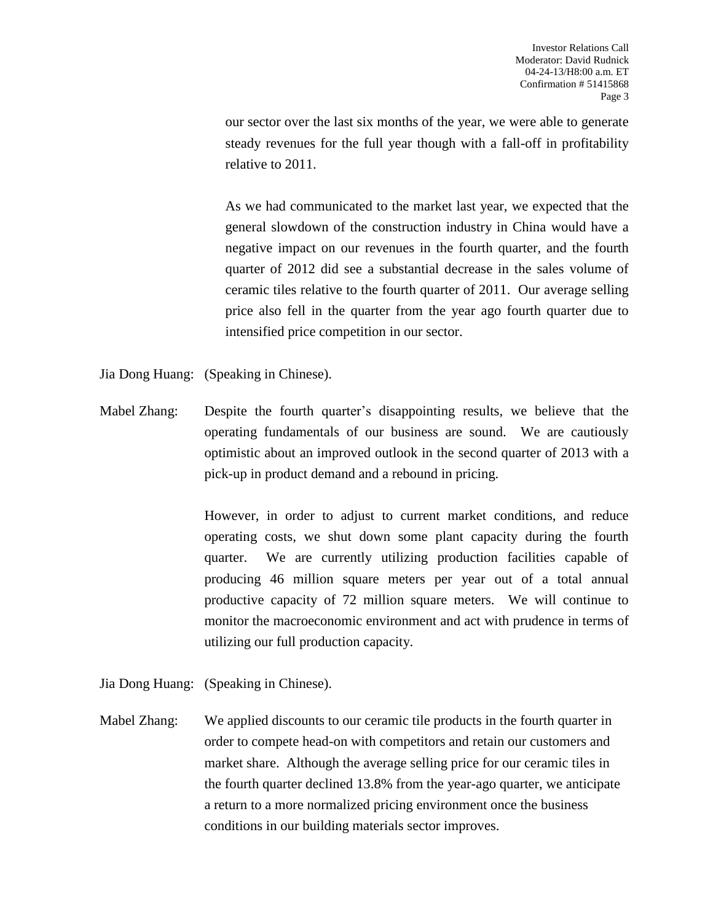our sector over the last six months of the year, we were able to generate steady revenues for the full year though with a fall-off in profitability relative to 2011.

As we had communicated to the market last year, we expected that the general slowdown of the construction industry in China would have a negative impact on our revenues in the fourth quarter, and the fourth quarter of 2012 did see a substantial decrease in the sales volume of ceramic tiles relative to the fourth quarter of 2011. Our average selling price also fell in the quarter from the year ago fourth quarter due to intensified price competition in our sector.

Jia Dong Huang: (Speaking in Chinese).

Mabel Zhang: Despite the fourth quarter's disappointing results, we believe that the operating fundamentals of our business are sound. We are cautiously optimistic about an improved outlook in the second quarter of 2013 with a pick-up in product demand and a rebound in pricing.

> However, in order to adjust to current market conditions, and reduce operating costs, we shut down some plant capacity during the fourth quarter. We are currently utilizing production facilities capable of producing 46 million square meters per year out of a total annual productive capacity of 72 million square meters. We will continue to monitor the macroeconomic environment and act with prudence in terms of utilizing our full production capacity.

Jia Dong Huang: (Speaking in Chinese).

Mabel Zhang: We applied discounts to our ceramic tile products in the fourth quarter in order to compete head-on with competitors and retain our customers and market share. Although the average selling price for our ceramic tiles in the fourth quarter declined 13.8% from the year-ago quarter, we anticipate a return to a more normalized pricing environment once the business conditions in our building materials sector improves.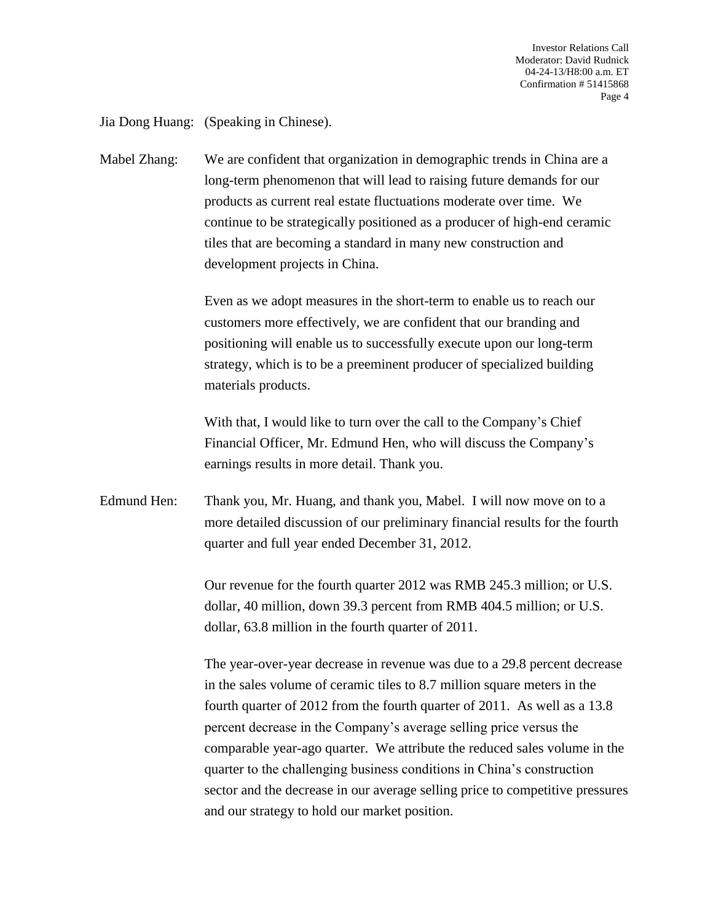Jia Dong Huang: (Speaking in Chinese).

Mabel Zhang: We are confident that organization in demographic trends in China are a long-term phenomenon that will lead to raising future demands for our products as current real estate fluctuations moderate over time. We continue to be strategically positioned as a producer of high-end ceramic tiles that are becoming a standard in many new construction and development projects in China.

> Even as we adopt measures in the short-term to enable us to reach our customers more effectively, we are confident that our branding and positioning will enable us to successfully execute upon our long-term strategy, which is to be a preeminent producer of specialized building materials products.

> With that, I would like to turn over the call to the Company's Chief Financial Officer, Mr. Edmund Hen, who will discuss the Company's earnings results in more detail. Thank you.

Edmund Hen: Thank you, Mr. Huang, and thank you, Mabel. I will now move on to a more detailed discussion of our preliminary financial results for the fourth quarter and full year ended December 31, 2012.

> Our revenue for the fourth quarter 2012 was RMB 245.3 million; or U.S. dollar, 40 million, down 39.3 percent from RMB 404.5 million; or U.S. dollar, 63.8 million in the fourth quarter of 2011.

The year-over-year decrease in revenue was due to a 29.8 percent decrease in the sales volume of ceramic tiles to 8.7 million square meters in the fourth quarter of 2012 from the fourth quarter of 2011. As well as a 13.8 percent decrease in the Company's average selling price versus the comparable year-ago quarter. We attribute the reduced sales volume in the quarter to the challenging business conditions in China's construction sector and the decrease in our average selling price to competitive pressures and our strategy to hold our market position.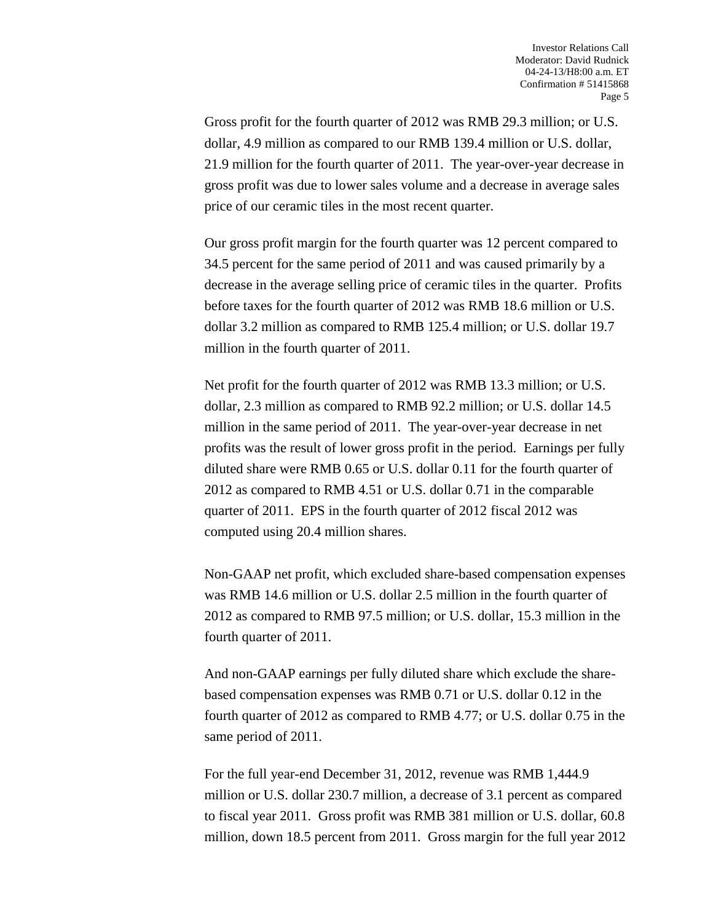Gross profit for the fourth quarter of 2012 was RMB 29.3 million; or U.S. dollar, 4.9 million as compared to our RMB 139.4 million or U.S. dollar, 21.9 million for the fourth quarter of 2011. The year-over-year decrease in gross profit was due to lower sales volume and a decrease in average sales price of our ceramic tiles in the most recent quarter.

Our gross profit margin for the fourth quarter was 12 percent compared to 34.5 percent for the same period of 2011 and was caused primarily by a decrease in the average selling price of ceramic tiles in the quarter. Profits before taxes for the fourth quarter of 2012 was RMB 18.6 million or U.S. dollar 3.2 million as compared to RMB 125.4 million; or U.S. dollar 19.7 million in the fourth quarter of 2011.

Net profit for the fourth quarter of 2012 was RMB 13.3 million; or U.S. dollar, 2.3 million as compared to RMB 92.2 million; or U.S. dollar 14.5 million in the same period of 2011. The year-over-year decrease in net profits was the result of lower gross profit in the period. Earnings per fully diluted share were RMB 0.65 or U.S. dollar 0.11 for the fourth quarter of 2012 as compared to RMB 4.51 or U.S. dollar 0.71 in the comparable quarter of 2011. EPS in the fourth quarter of 2012 fiscal 2012 was computed using 20.4 million shares.

Non-GAAP net profit, which excluded share-based compensation expenses was RMB 14.6 million or U.S. dollar 2.5 million in the fourth quarter of 2012 as compared to RMB 97.5 million; or U.S. dollar, 15.3 million in the fourth quarter of 2011.

And non-GAAP earnings per fully diluted share which exclude the sharebased compensation expenses was RMB 0.71 or U.S. dollar 0.12 in the fourth quarter of 2012 as compared to RMB 4.77; or U.S. dollar 0.75 in the same period of 2011.

For the full year-end December 31, 2012, revenue was RMB 1,444.9 million or U.S. dollar 230.7 million, a decrease of 3.1 percent as compared to fiscal year 2011. Gross profit was RMB 381 million or U.S. dollar, 60.8 million, down 18.5 percent from 2011. Gross margin for the full year 2012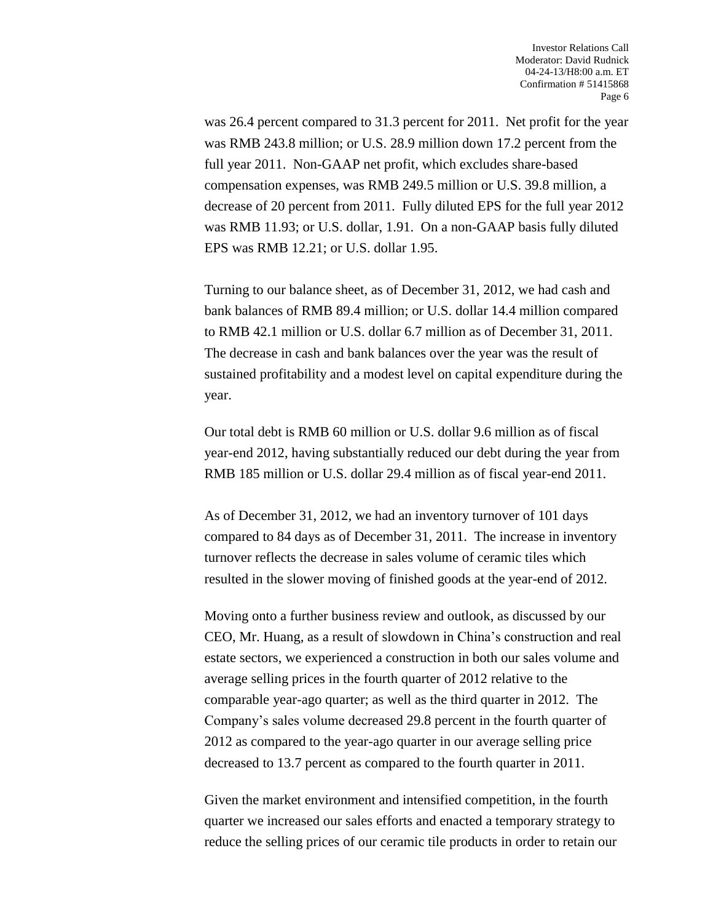was 26.4 percent compared to 31.3 percent for 2011. Net profit for the year was RMB 243.8 million; or U.S. 28.9 million down 17.2 percent from the full year 2011. Non-GAAP net profit, which excludes share-based compensation expenses, was RMB 249.5 million or U.S. 39.8 million, a decrease of 20 percent from 2011. Fully diluted EPS for the full year 2012 was RMB 11.93; or U.S. dollar, 1.91. On a non-GAAP basis fully diluted EPS was RMB 12.21; or U.S. dollar 1.95.

Turning to our balance sheet, as of December 31, 2012, we had cash and bank balances of RMB 89.4 million; or U.S. dollar 14.4 million compared to RMB 42.1 million or U.S. dollar 6.7 million as of December 31, 2011. The decrease in cash and bank balances over the year was the result of sustained profitability and a modest level on capital expenditure during the year.

Our total debt is RMB 60 million or U.S. dollar 9.6 million as of fiscal year-end 2012, having substantially reduced our debt during the year from RMB 185 million or U.S. dollar 29.4 million as of fiscal year-end 2011.

As of December 31, 2012, we had an inventory turnover of 101 days compared to 84 days as of December 31, 2011. The increase in inventory turnover reflects the decrease in sales volume of ceramic tiles which resulted in the slower moving of finished goods at the year-end of 2012.

Moving onto a further business review and outlook, as discussed by our CEO, Mr. Huang, as a result of slowdown in China's construction and real estate sectors, we experienced a construction in both our sales volume and average selling prices in the fourth quarter of 2012 relative to the comparable year-ago quarter; as well as the third quarter in 2012. The Company's sales volume decreased 29.8 percent in the fourth quarter of 2012 as compared to the year-ago quarter in our average selling price decreased to 13.7 percent as compared to the fourth quarter in 2011.

Given the market environment and intensified competition, in the fourth quarter we increased our sales efforts and enacted a temporary strategy to reduce the selling prices of our ceramic tile products in order to retain our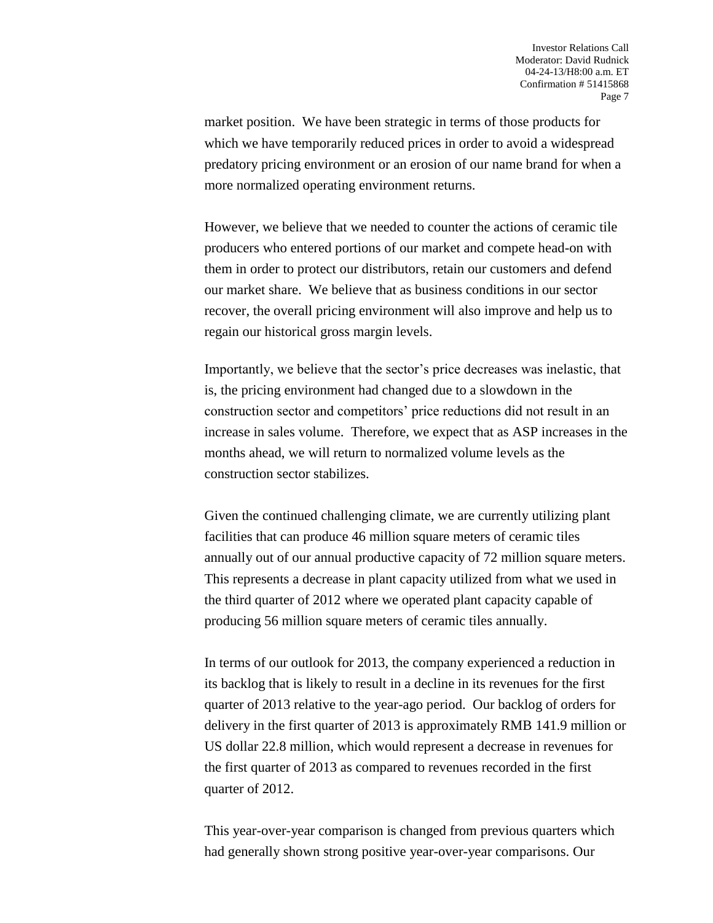market position. We have been strategic in terms of those products for which we have temporarily reduced prices in order to avoid a widespread predatory pricing environment or an erosion of our name brand for when a more normalized operating environment returns.

However, we believe that we needed to counter the actions of ceramic tile producers who entered portions of our market and compete head-on with them in order to protect our distributors, retain our customers and defend our market share. We believe that as business conditions in our sector recover, the overall pricing environment will also improve and help us to regain our historical gross margin levels.

Importantly, we believe that the sector's price decreases was inelastic, that is, the pricing environment had changed due to a slowdown in the construction sector and competitors' price reductions did not result in an increase in sales volume. Therefore, we expect that as ASP increases in the months ahead, we will return to normalized volume levels as the construction sector stabilizes.

Given the continued challenging climate, we are currently utilizing plant facilities that can produce 46 million square meters of ceramic tiles annually out of our annual productive capacity of 72 million square meters. This represents a decrease in plant capacity utilized from what we used in the third quarter of 2012 where we operated plant capacity capable of producing 56 million square meters of ceramic tiles annually.

In terms of our outlook for 2013, the company experienced a reduction in its backlog that is likely to result in a decline in its revenues for the first quarter of 2013 relative to the year-ago period. Our backlog of orders for delivery in the first quarter of 2013 is approximately RMB 141.9 million or US dollar 22.8 million, which would represent a decrease in revenues for the first quarter of 2013 as compared to revenues recorded in the first quarter of 2012.

This year-over-year comparison is changed from previous quarters which had generally shown strong positive year-over-year comparisons. Our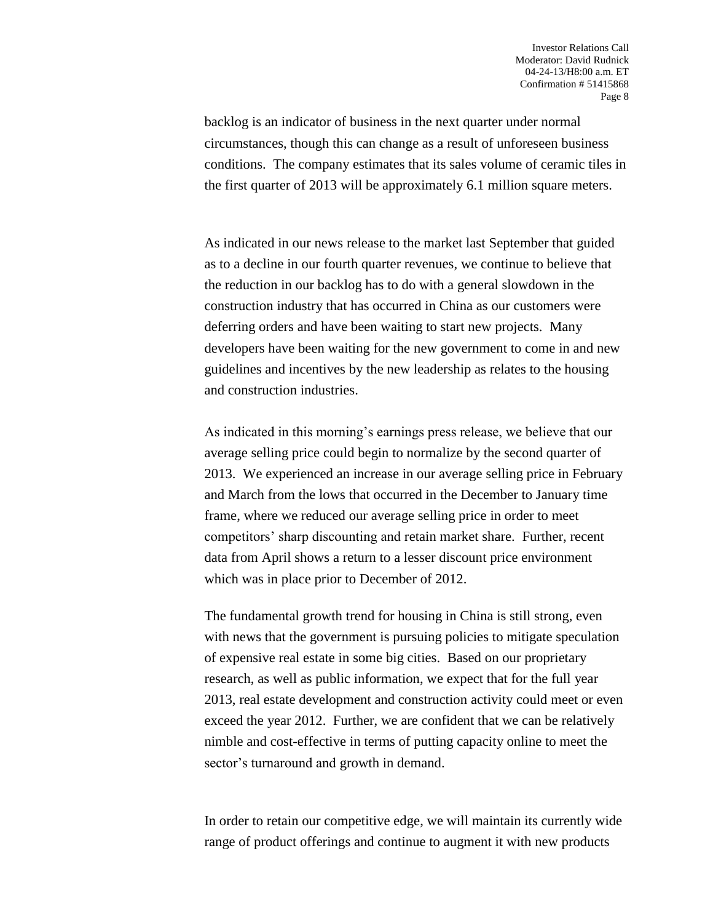backlog is an indicator of business in the next quarter under normal circumstances, though this can change as a result of unforeseen business conditions. The company estimates that its sales volume of ceramic tiles in the first quarter of 2013 will be approximately 6.1 million square meters.

As indicated in our news release to the market last September that guided as to a decline in our fourth quarter revenues, we continue to believe that the reduction in our backlog has to do with a general slowdown in the construction industry that has occurred in China as our customers were deferring orders and have been waiting to start new projects. Many developers have been waiting for the new government to come in and new guidelines and incentives by the new leadership as relates to the housing and construction industries.

As indicated in this morning's earnings press release, we believe that our average selling price could begin to normalize by the second quarter of 2013. We experienced an increase in our average selling price in February and March from the lows that occurred in the December to January time frame, where we reduced our average selling price in order to meet competitors' sharp discounting and retain market share. Further, recent data from April shows a return to a lesser discount price environment which was in place prior to December of 2012.

The fundamental growth trend for housing in China is still strong, even with news that the government is pursuing policies to mitigate speculation of expensive real estate in some big cities. Based on our proprietary research, as well as public information, we expect that for the full year 2013, real estate development and construction activity could meet or even exceed the year 2012. Further, we are confident that we can be relatively nimble and cost-effective in terms of putting capacity online to meet the sector's turnaround and growth in demand.

In order to retain our competitive edge, we will maintain its currently wide range of product offerings and continue to augment it with new products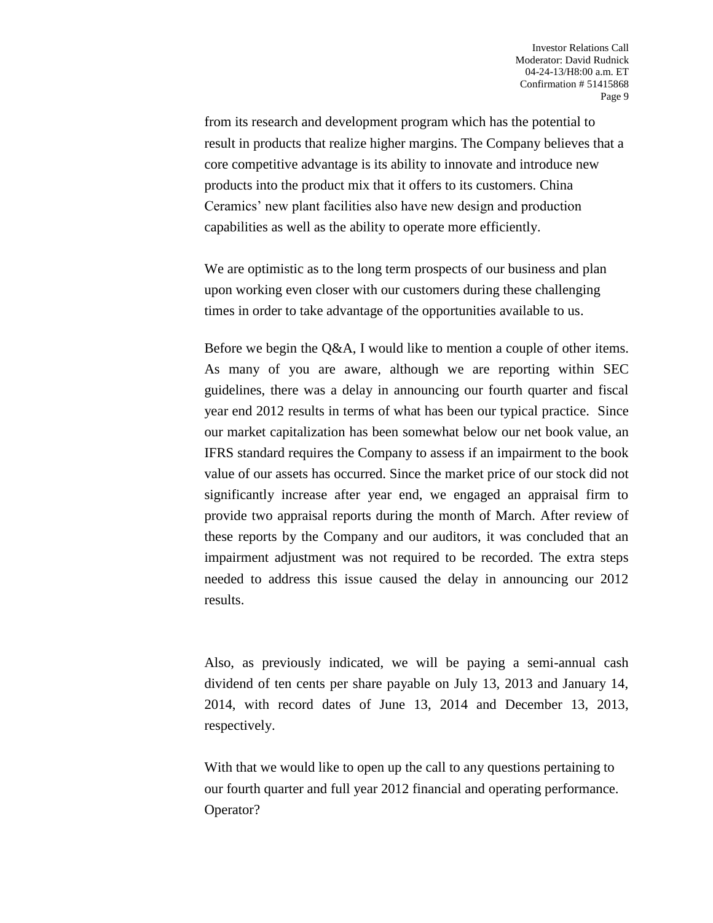from its research and development program which has the potential to result in products that realize higher margins. The Company believes that a core competitive advantage is its ability to innovate and introduce new products into the product mix that it offers to its customers. China Ceramics' new plant facilities also have new design and production capabilities as well as the ability to operate more efficiently.

We are optimistic as to the long term prospects of our business and plan upon working even closer with our customers during these challenging times in order to take advantage of the opportunities available to us.

Before we begin the Q&A, I would like to mention a couple of other items. As many of you are aware, although we are reporting within SEC guidelines, there was a delay in announcing our fourth quarter and fiscal year end 2012 results in terms of what has been our typical practice. Since our market capitalization has been somewhat below our net book value, an IFRS standard requires the Company to assess if an impairment to the book value of our assets has occurred. Since the market price of our stock did not significantly increase after year end, we engaged an appraisal firm to provide two appraisal reports during the month of March. After review of these reports by the Company and our auditors, it was concluded that an impairment adjustment was not required to be recorded. The extra steps needed to address this issue caused the delay in announcing our 2012 results.

Also, as previously indicated, we will be paying a semi-annual cash dividend of ten cents per share payable on July 13, 2013 and January 14, 2014, with record dates of June 13, 2014 and December 13, 2013, respectively.

With that we would like to open up the call to any questions pertaining to our fourth quarter and full year 2012 financial and operating performance. Operator?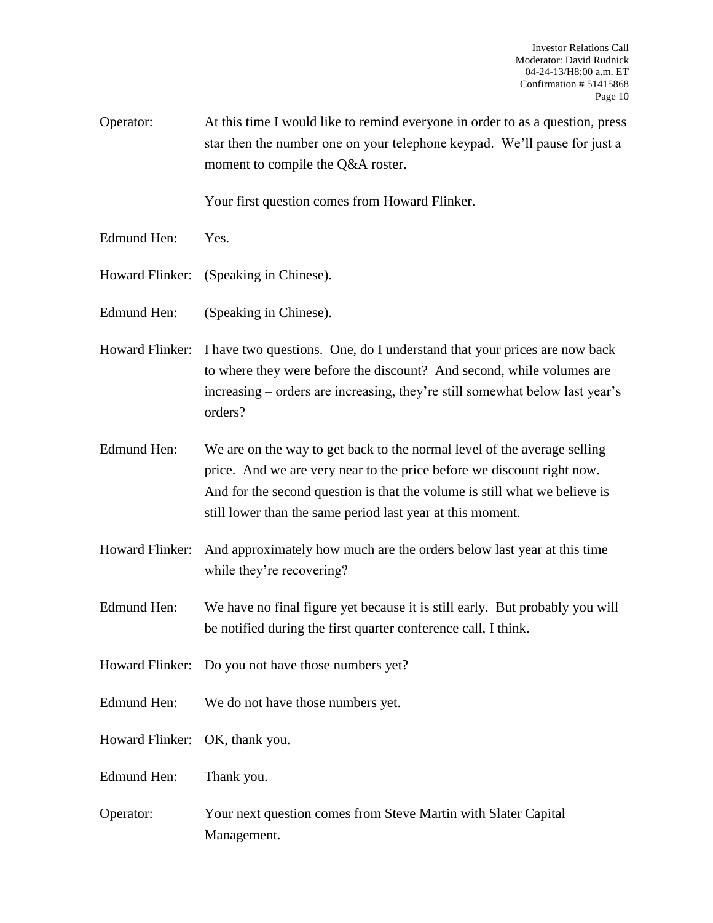Operator: At this time I would like to remind everyone in order to as a question, press star then the number one on your telephone keypad. We'll pause for just a moment to compile the Q&A roster.

Your first question comes from Howard Flinker.

- Edmund Hen: Yes.
- Howard Flinker: (Speaking in Chinese).
- Edmund Hen: (Speaking in Chinese).
- Howard Flinker: I have two questions. One, do I understand that your prices are now back to where they were before the discount? And second, while volumes are increasing – orders are increasing, they're still somewhat below last year's orders?
- Edmund Hen: We are on the way to get back to the normal level of the average selling price. And we are very near to the price before we discount right now. And for the second question is that the volume is still what we believe is still lower than the same period last year at this moment.
- Howard Flinker: And approximately how much are the orders below last year at this time while they're recovering?
- Edmund Hen: We have no final figure yet because it is still early. But probably you will be notified during the first quarter conference call, I think.
- Howard Flinker: Do you not have those numbers yet?
- Edmund Hen: We do not have those numbers yet.
- Howard Flinker: OK, thank you.
- Edmund Hen: Thank you.
- Operator: Your next question comes from Steve Martin with Slater Capital Management.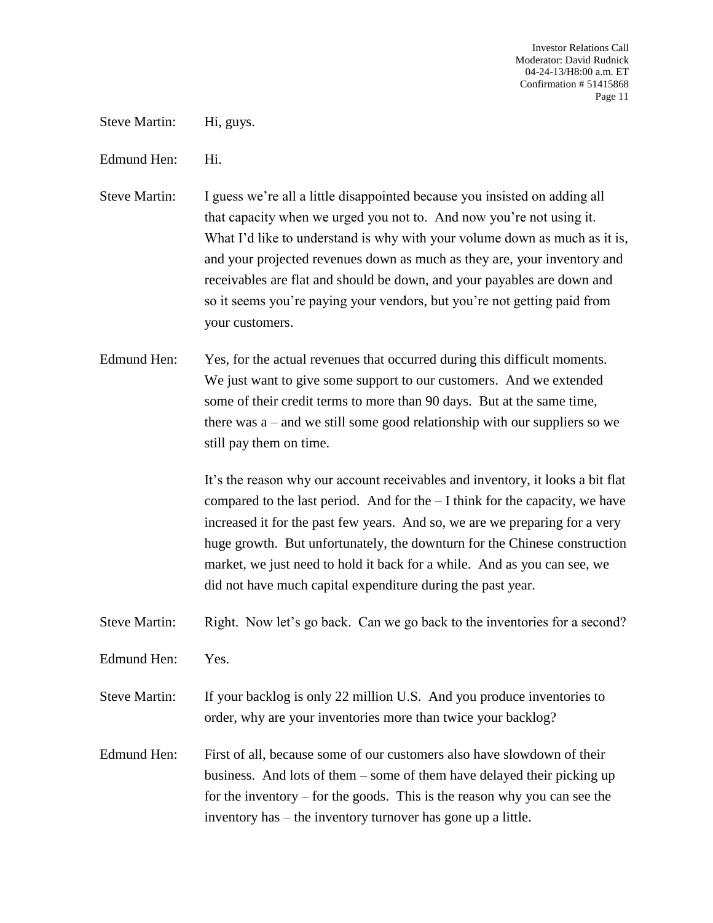Steve Martin: Hi, guys.

Edmund Hen: Hi.

Steve Martin: I guess we're all a little disappointed because you insisted on adding all that capacity when we urged you not to. And now you're not using it. What I'd like to understand is why with your volume down as much as it is, and your projected revenues down as much as they are, your inventory and receivables are flat and should be down, and your payables are down and so it seems you're paying your vendors, but you're not getting paid from your customers.

Edmund Hen: Yes, for the actual revenues that occurred during this difficult moments. We just want to give some support to our customers. And we extended some of their credit terms to more than 90 days. But at the same time, there was a – and we still some good relationship with our suppliers so we still pay them on time.

> It's the reason why our account receivables and inventory, it looks a bit flat compared to the last period. And for the – I think for the capacity, we have increased it for the past few years. And so, we are we preparing for a very huge growth. But unfortunately, the downturn for the Chinese construction market, we just need to hold it back for a while. And as you can see, we did not have much capital expenditure during the past year.

Steve Martin: Right. Now let's go back. Can we go back to the inventories for a second?

Edmund Hen: Yes.

Steve Martin: If your backlog is only 22 million U.S. And you produce inventories to order, why are your inventories more than twice your backlog?

Edmund Hen: First of all, because some of our customers also have slowdown of their business. And lots of them – some of them have delayed their picking up for the inventory – for the goods. This is the reason why you can see the inventory has – the inventory turnover has gone up a little.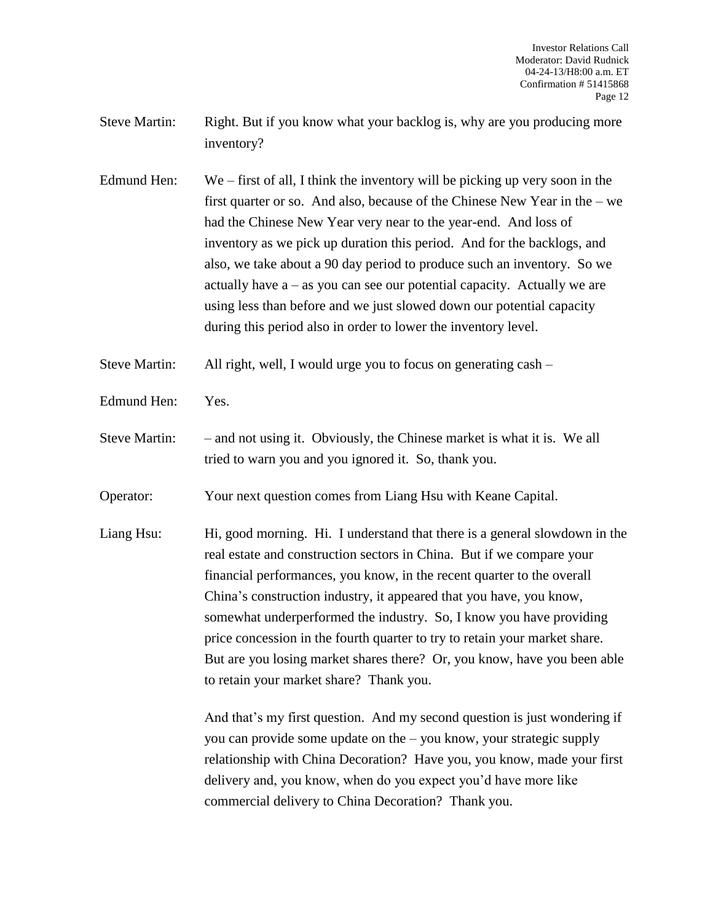- Steve Martin: Right. But if you know what your backlog is, why are you producing more inventory?
- Edmund Hen: We first of all, I think the inventory will be picking up very soon in the first quarter or so. And also, because of the Chinese New Year in the – we had the Chinese New Year very near to the year-end. And loss of inventory as we pick up duration this period. And for the backlogs, and also, we take about a 90 day period to produce such an inventory. So we actually have  $a - as$  you can see our potential capacity. Actually we are using less than before and we just slowed down our potential capacity during this period also in order to lower the inventory level.

Steve Martin: All right, well, I would urge you to focus on generating cash –

- Edmund Hen: Yes.
- Steve Martin: and not using it. Obviously, the Chinese market is what it is. We all tried to warn you and you ignored it. So, thank you.

Operator: Your next question comes from Liang Hsu with Keane Capital.

Liang Hsu: Hi, good morning. Hi. I understand that there is a general slowdown in the real estate and construction sectors in China. But if we compare your financial performances, you know, in the recent quarter to the overall China's construction industry, it appeared that you have, you know, somewhat underperformed the industry. So, I know you have providing price concession in the fourth quarter to try to retain your market share. But are you losing market shares there? Or, you know, have you been able to retain your market share? Thank you.

> And that's my first question. And my second question is just wondering if you can provide some update on the – you know, your strategic supply relationship with China Decoration? Have you, you know, made your first delivery and, you know, when do you expect you'd have more like commercial delivery to China Decoration? Thank you.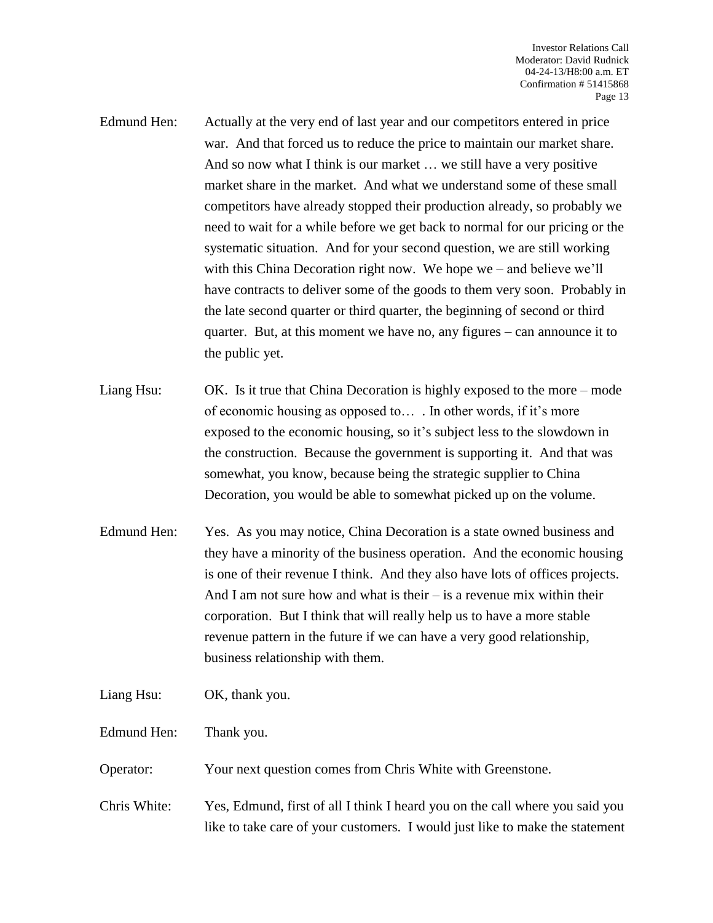- Edmund Hen: Actually at the very end of last year and our competitors entered in price war. And that forced us to reduce the price to maintain our market share. And so now what I think is our market … we still have a very positive market share in the market. And what we understand some of these small competitors have already stopped their production already, so probably we need to wait for a while before we get back to normal for our pricing or the systematic situation. And for your second question, we are still working with this China Decoration right now. We hope we – and believe we'll have contracts to deliver some of the goods to them very soon. Probably in the late second quarter or third quarter, the beginning of second or third quarter. But, at this moment we have no, any figures – can announce it to the public yet.
- Liang Hsu: OK. Is it true that China Decoration is highly exposed to the more mode of economic housing as opposed to… . In other words, if it's more exposed to the economic housing, so it's subject less to the slowdown in the construction. Because the government is supporting it. And that was somewhat, you know, because being the strategic supplier to China Decoration, you would be able to somewhat picked up on the volume.
- Edmund Hen: Yes. As you may notice, China Decoration is a state owned business and they have a minority of the business operation. And the economic housing is one of their revenue I think. And they also have lots of offices projects. And I am not sure how and what is their  $-$  is a revenue mix within their corporation. But I think that will really help us to have a more stable revenue pattern in the future if we can have a very good relationship, business relationship with them.
- Liang Hsu: OK, thank you.
- Edmund Hen: Thank you.
- Operator: Your next question comes from Chris White with Greenstone.
- Chris White: Yes, Edmund, first of all I think I heard you on the call where you said you like to take care of your customers. I would just like to make the statement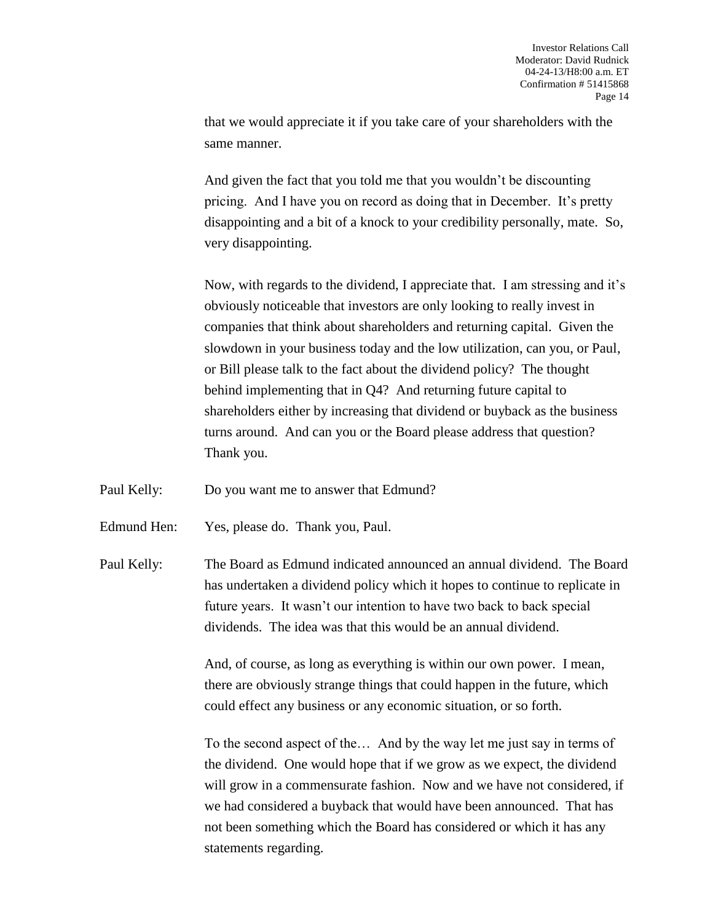that we would appreciate it if you take care of your shareholders with the same manner.

And given the fact that you told me that you wouldn't be discounting pricing. And I have you on record as doing that in December. It's pretty disappointing and a bit of a knock to your credibility personally, mate. So, very disappointing.

Now, with regards to the dividend, I appreciate that. I am stressing and it's obviously noticeable that investors are only looking to really invest in companies that think about shareholders and returning capital. Given the slowdown in your business today and the low utilization, can you, or Paul, or Bill please talk to the fact about the dividend policy? The thought behind implementing that in Q4? And returning future capital to shareholders either by increasing that dividend or buyback as the business turns around. And can you or the Board please address that question? Thank you.

Paul Kelly: Do you want me to answer that Edmund?

Edmund Hen: Yes, please do. Thank you, Paul.

Paul Kelly: The Board as Edmund indicated announced an annual dividend. The Board has undertaken a dividend policy which it hopes to continue to replicate in future years. It wasn't our intention to have two back to back special dividends. The idea was that this would be an annual dividend.

> And, of course, as long as everything is within our own power. I mean, there are obviously strange things that could happen in the future, which could effect any business or any economic situation, or so forth.

To the second aspect of the… And by the way let me just say in terms of the dividend. One would hope that if we grow as we expect, the dividend will grow in a commensurate fashion. Now and we have not considered, if we had considered a buyback that would have been announced. That has not been something which the Board has considered or which it has any statements regarding.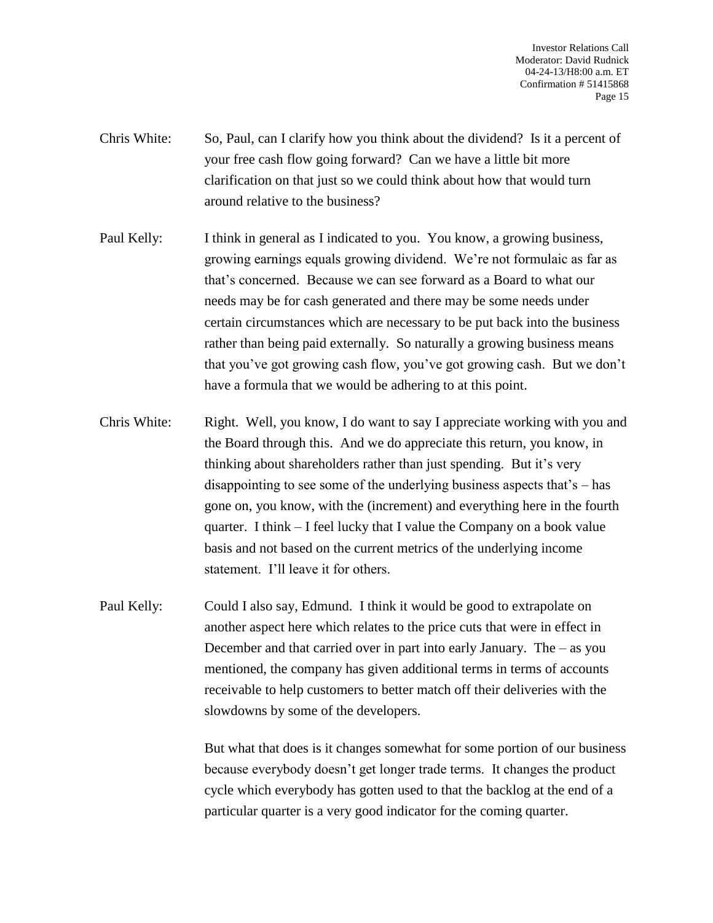- Chris White: So, Paul, can I clarify how you think about the dividend? Is it a percent of your free cash flow going forward? Can we have a little bit more clarification on that just so we could think about how that would turn around relative to the business?
- Paul Kelly: I think in general as I indicated to you. You know, a growing business, growing earnings equals growing dividend. We're not formulaic as far as that's concerned. Because we can see forward as a Board to what our needs may be for cash generated and there may be some needs under certain circumstances which are necessary to be put back into the business rather than being paid externally. So naturally a growing business means that you've got growing cash flow, you've got growing cash. But we don't have a formula that we would be adhering to at this point.
- Chris White: Right. Well, you know, I do want to say I appreciate working with you and the Board through this. And we do appreciate this return, you know, in thinking about shareholders rather than just spending. But it's very disappointing to see some of the underlying business aspects that's – has gone on, you know, with the (increment) and everything here in the fourth quarter. I think – I feel lucky that I value the Company on a book value basis and not based on the current metrics of the underlying income statement. I'll leave it for others.
- Paul Kelly: Could I also say, Edmund. I think it would be good to extrapolate on another aspect here which relates to the price cuts that were in effect in December and that carried over in part into early January. The – as you mentioned, the company has given additional terms in terms of accounts receivable to help customers to better match off their deliveries with the slowdowns by some of the developers.

But what that does is it changes somewhat for some portion of our business because everybody doesn't get longer trade terms. It changes the product cycle which everybody has gotten used to that the backlog at the end of a particular quarter is a very good indicator for the coming quarter.